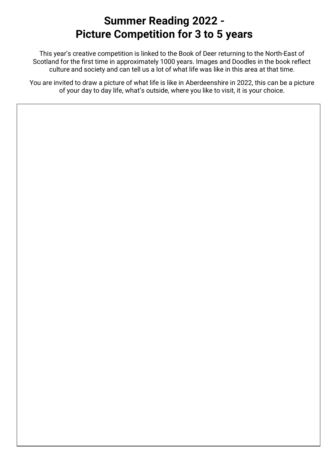## **Summer Reading 2022 - Picture Competition for 3 to 5 years**

This year's creative competition is linked to the Book of Deer returning to the North-East of Scotland for the first time in approximately 1000 years. Images and Doodles in the book reflect culture and society and can tell us a lot of what life was like in this area at that time.

You are invited to draw a picture of what life is like in Aberdeenshire in 2022, this can be a picture of your day to day life, what's outside, where you like to visit, it is your choice.